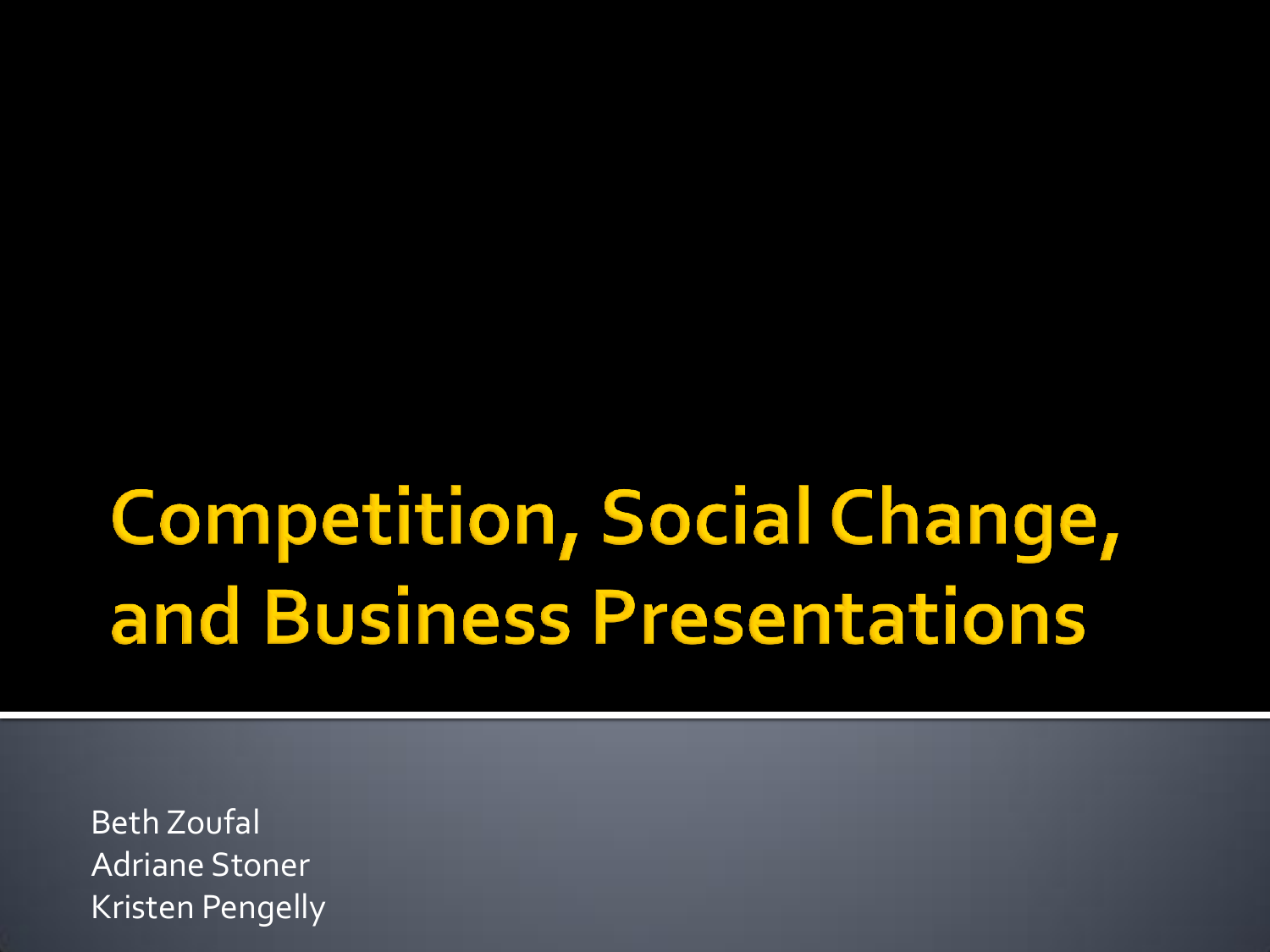## **Competition, Social Change,** and Business Presentations

Beth Zoufal Adriane Stoner Kristen Pengelly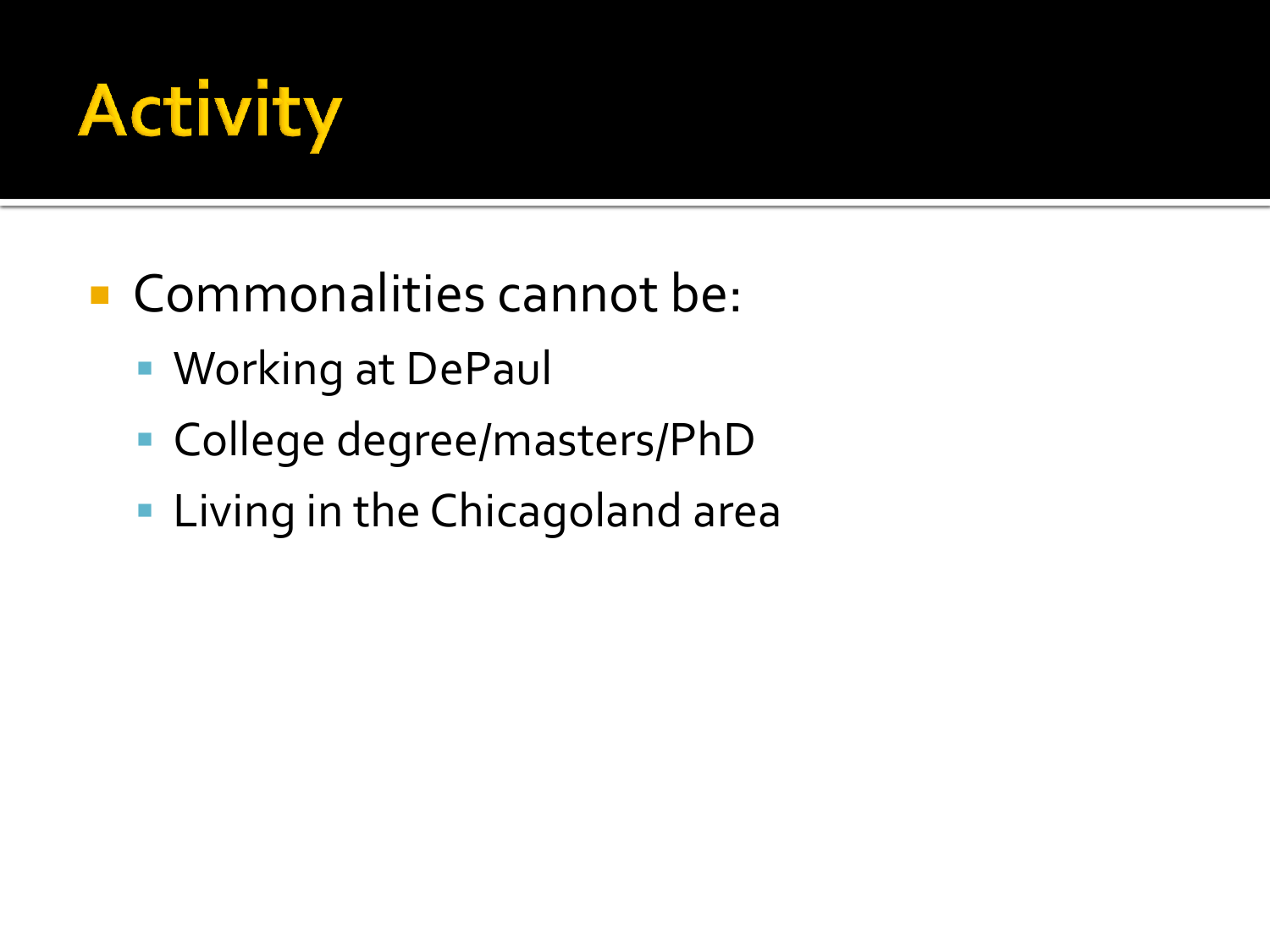

- Commonalities cannot be:
	- **Working at DePaul**
	- College degree/masters/PhD
	- **Living in the Chicagoland area**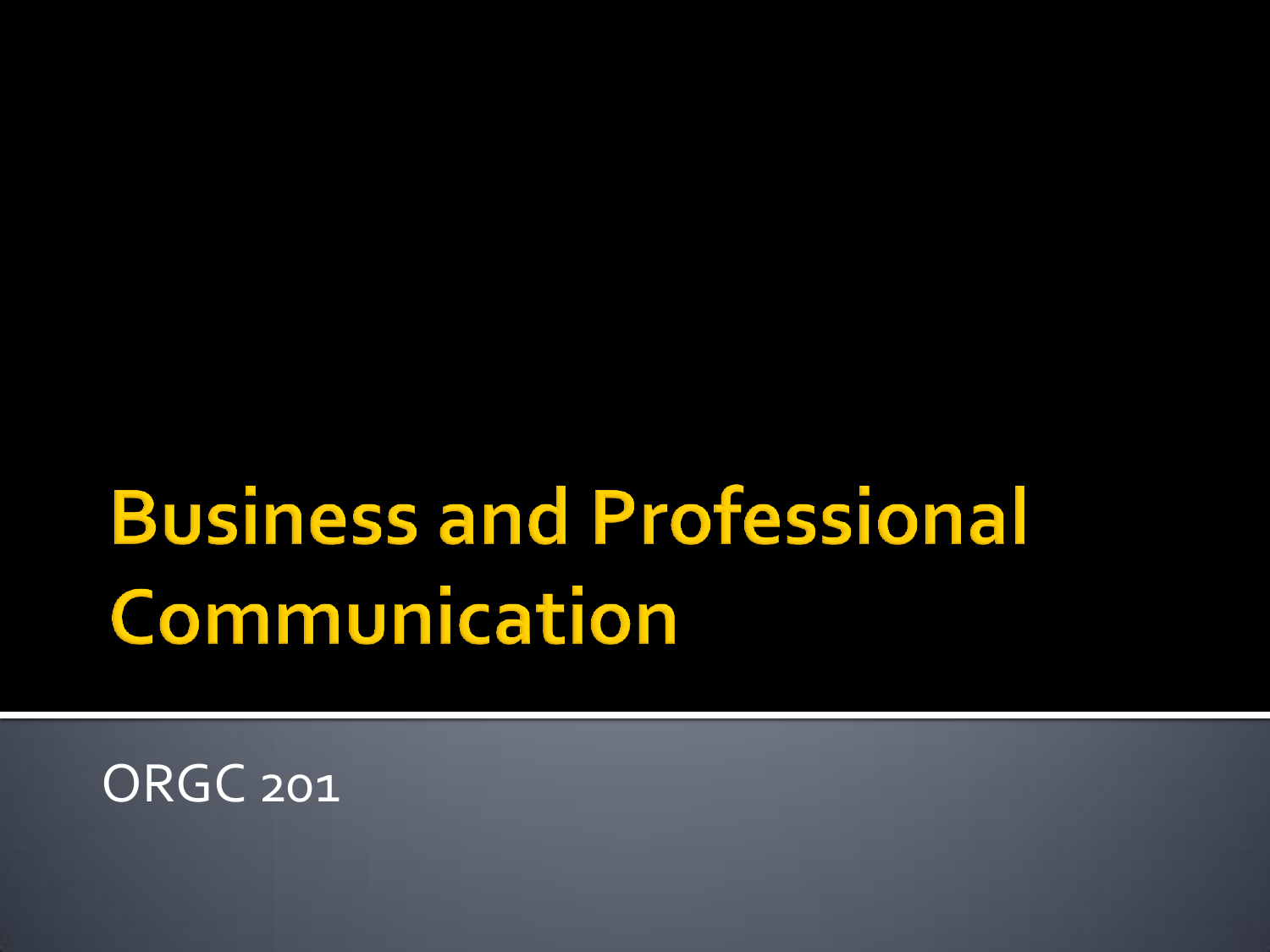## **Business and Professional** Communication

ORGC 201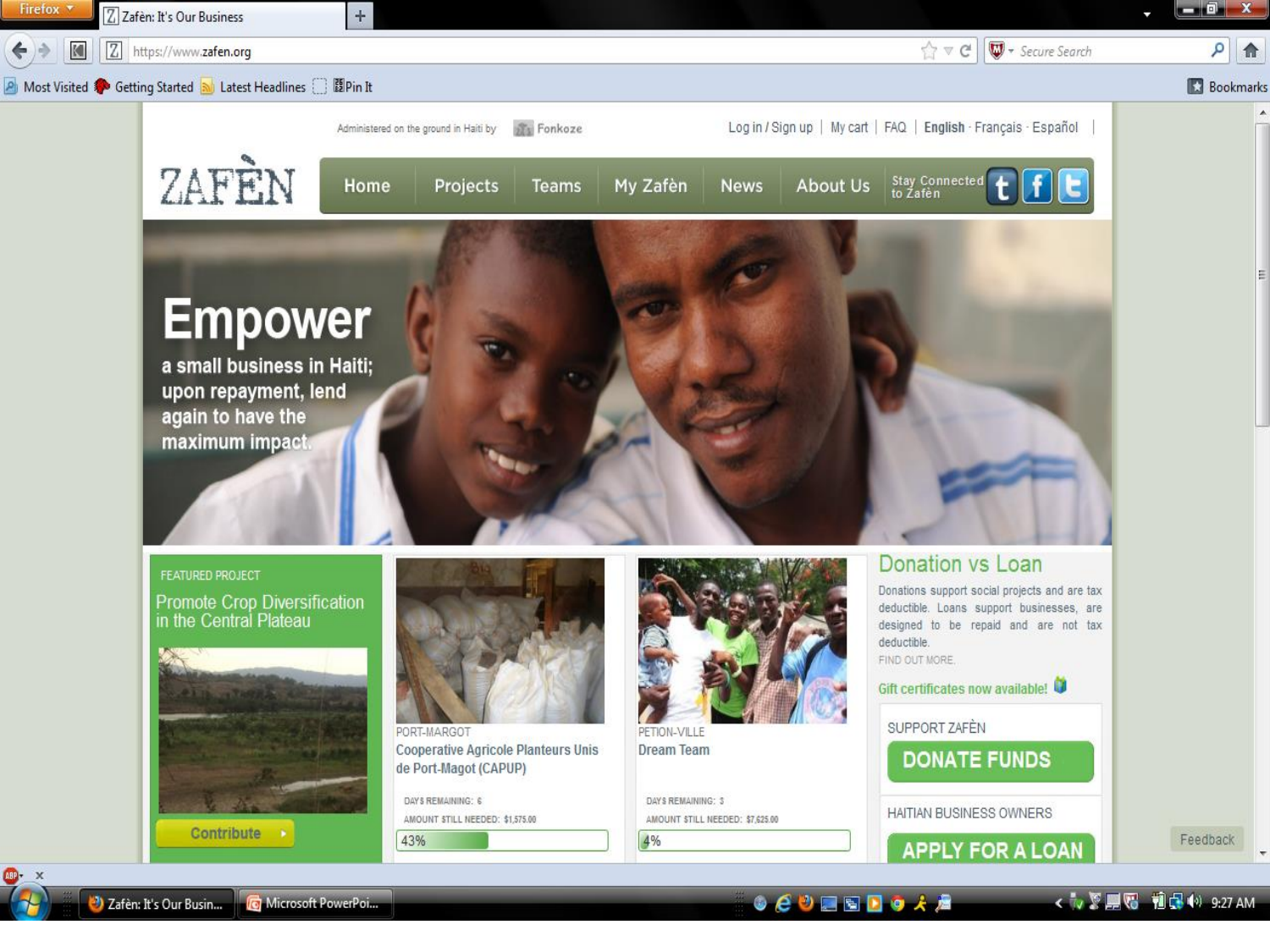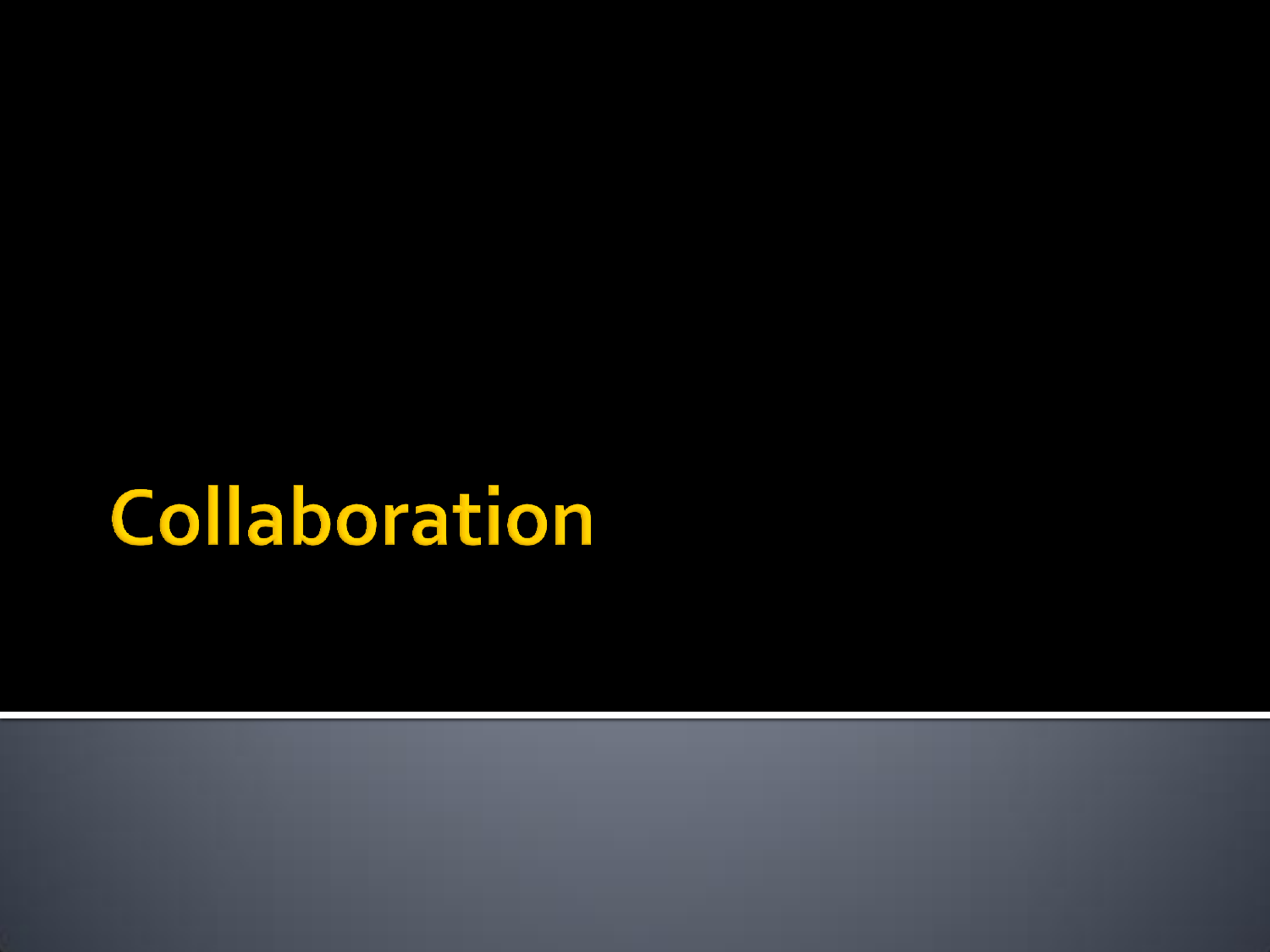## Collaboration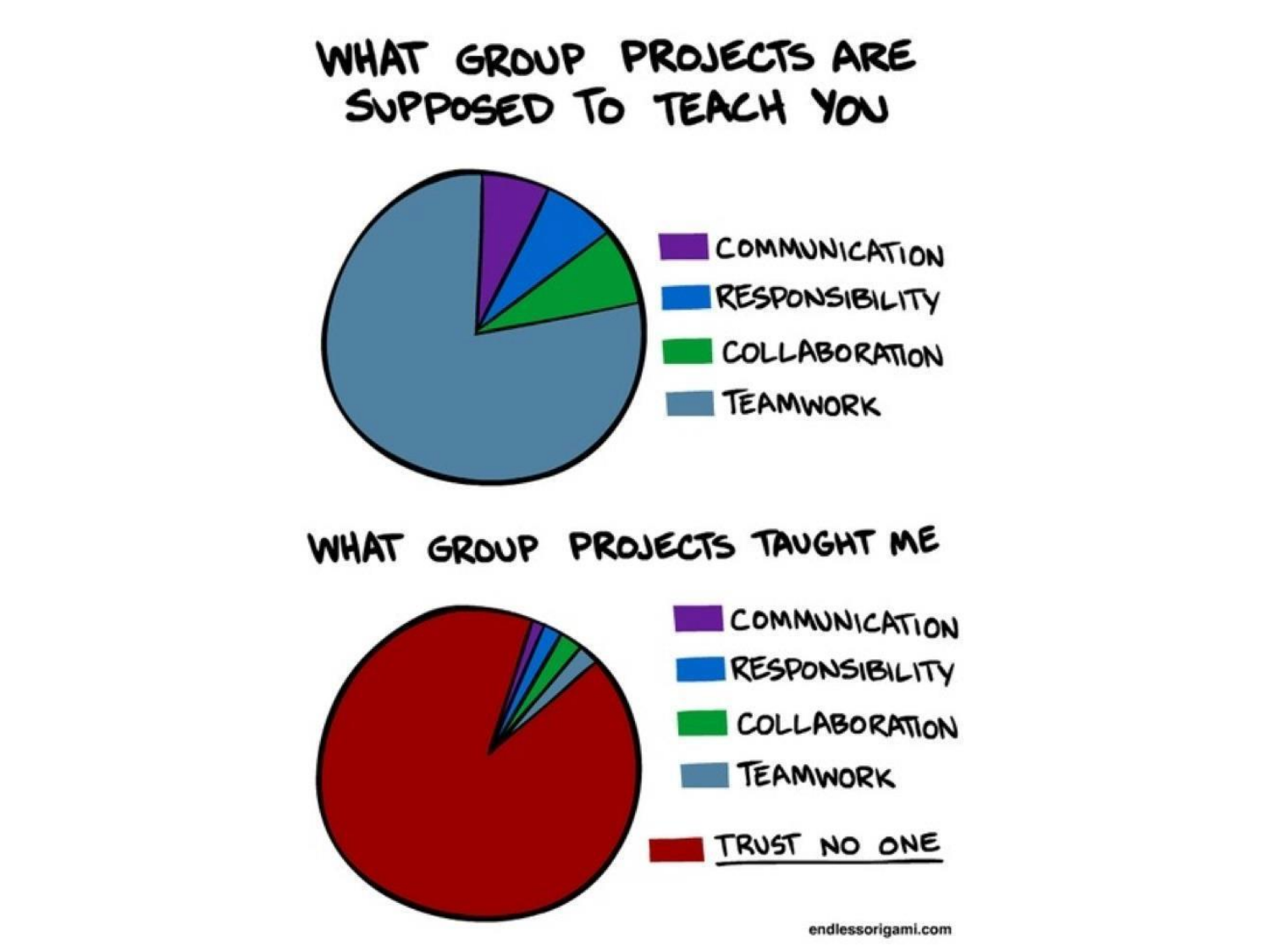#### WHAT GROUP PROJECTS ARE SUPPOSED TO TEACH YOU



WHAT GROUP PROJECTS TAUGHT ME



endlessorigami.com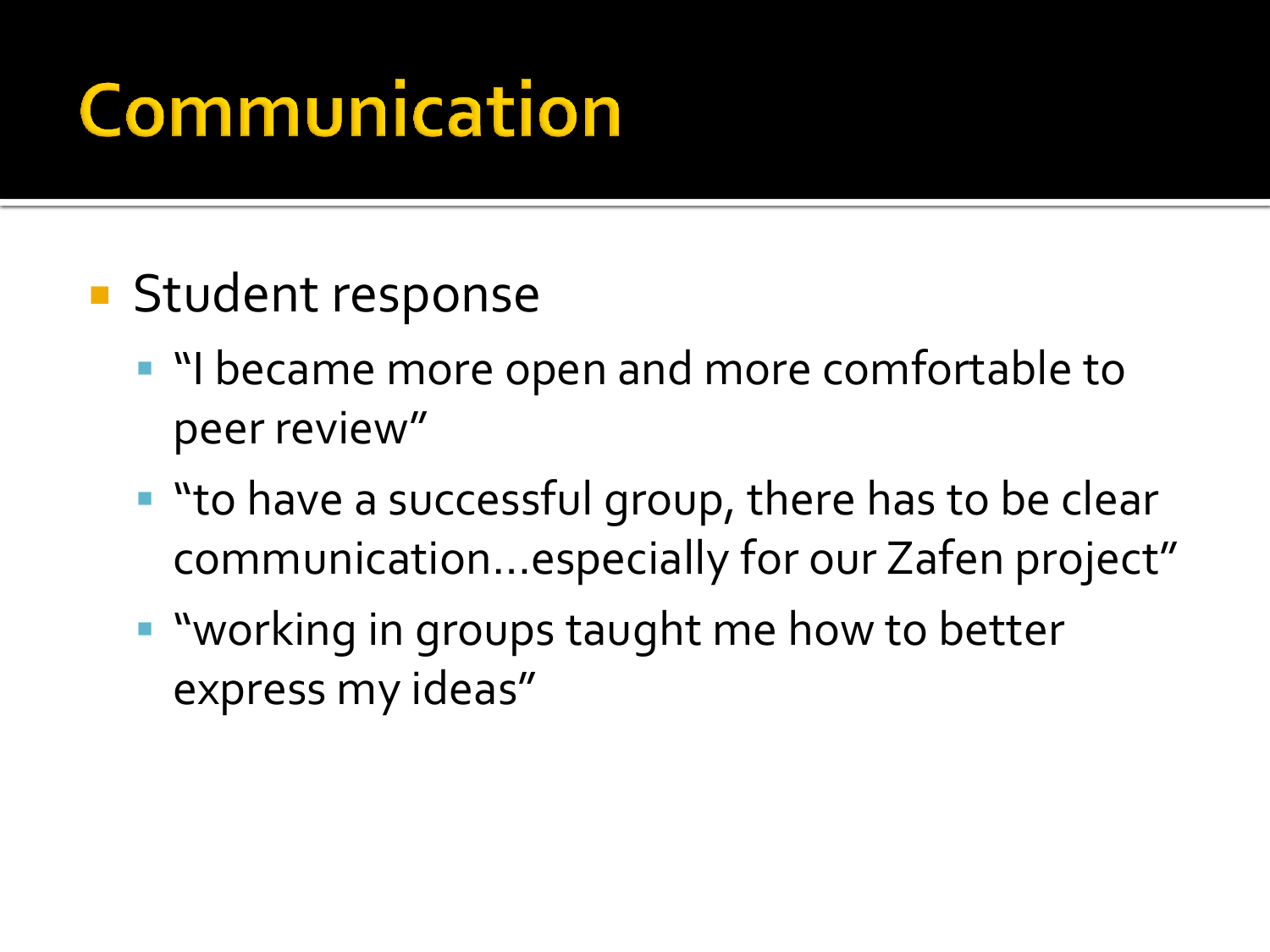## Communication

- **Student response** 
	- I "I became more open and more comfortable to peer review"
	- "to have a successful group, there has to be clear communication…especially for our Zafen project"
	- **"** "working in groups taught me how to better express my ideas"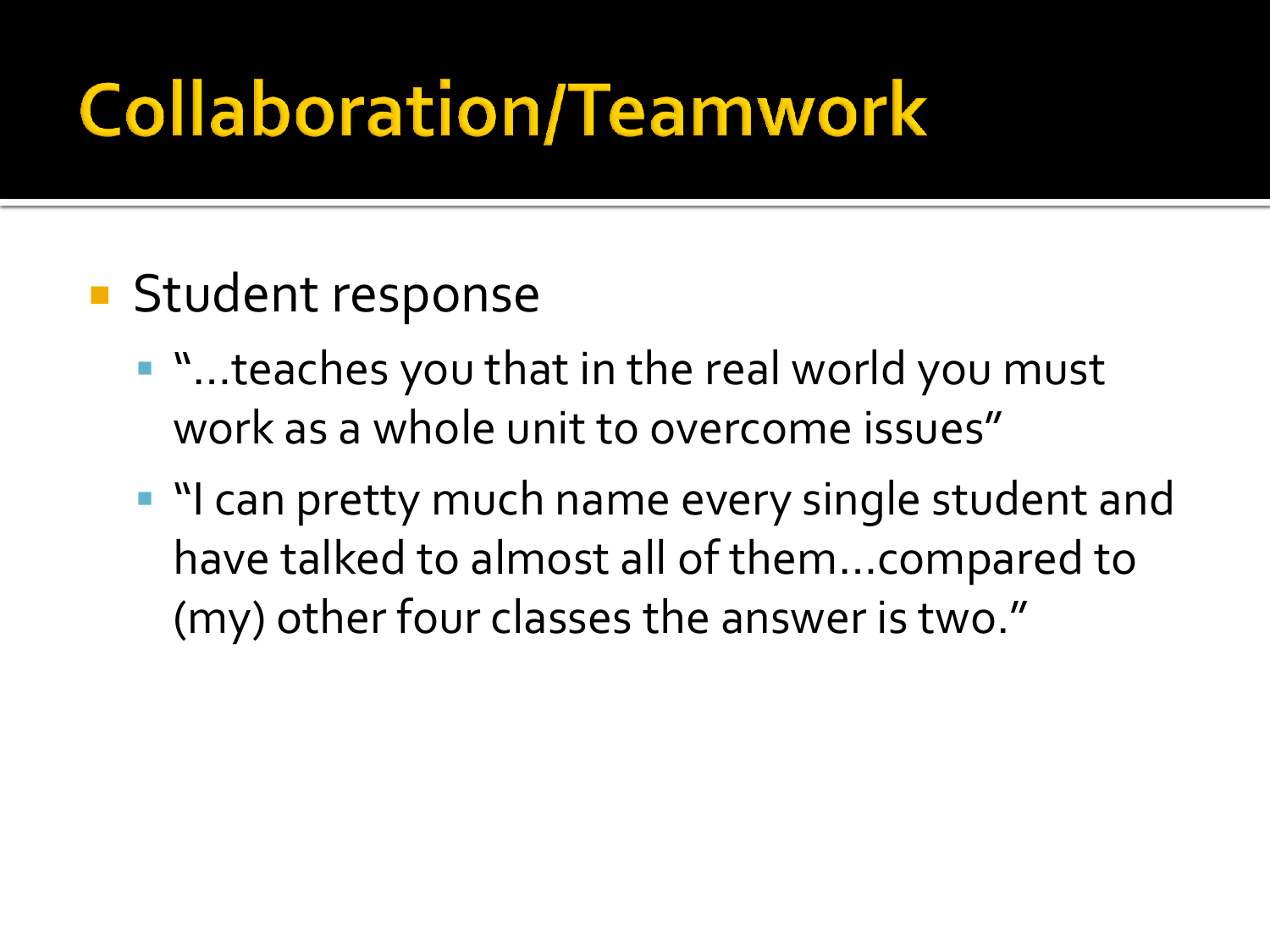## **Collaboration/Teamwork**

- **Student response** 
	- "…teaches you that in the real world you must work as a whole unit to overcome issues"
	- "I can pretty much name every single student and have talked to almost all of them…compared to (my) other four classes the answer is two."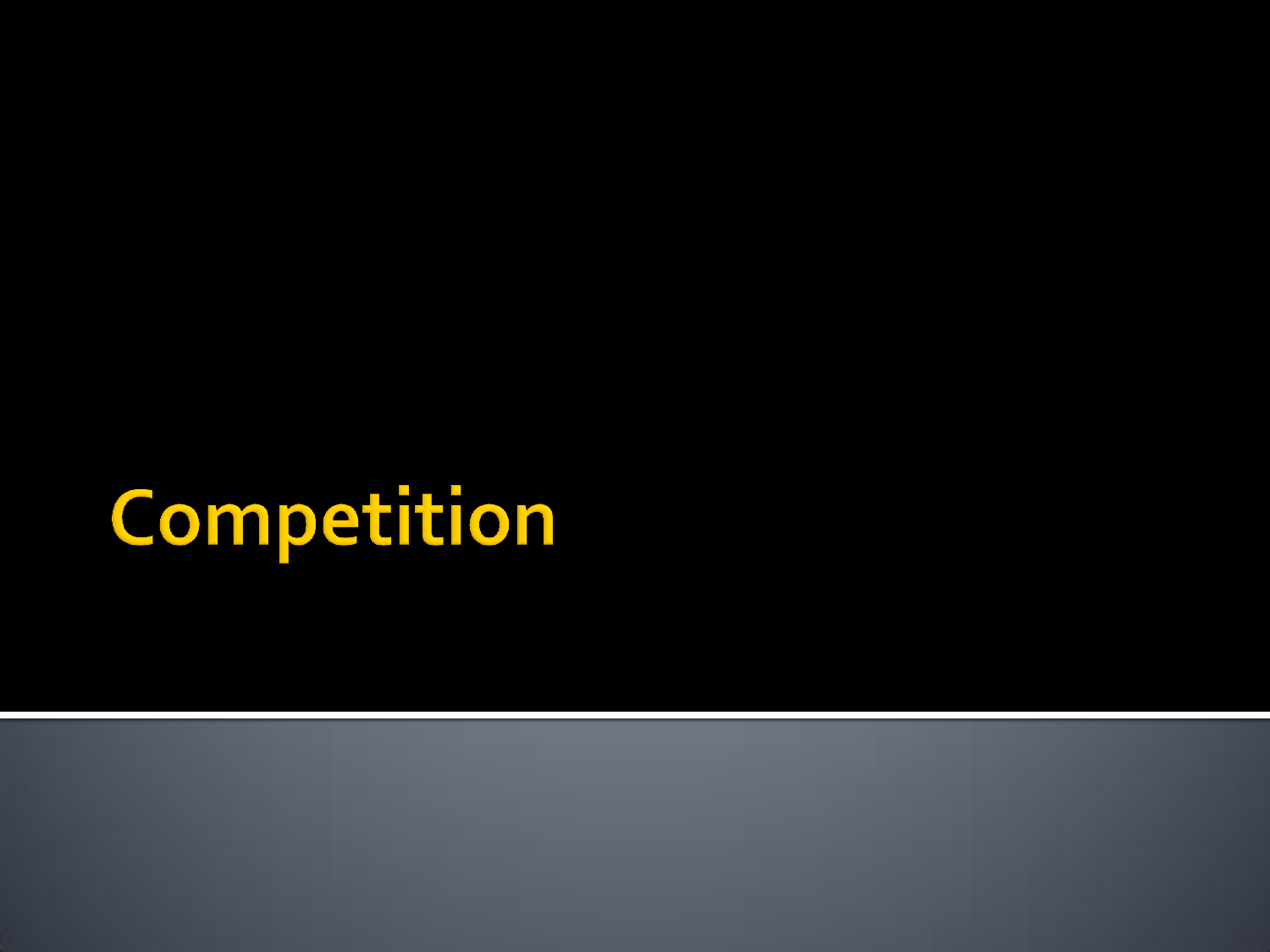# Competition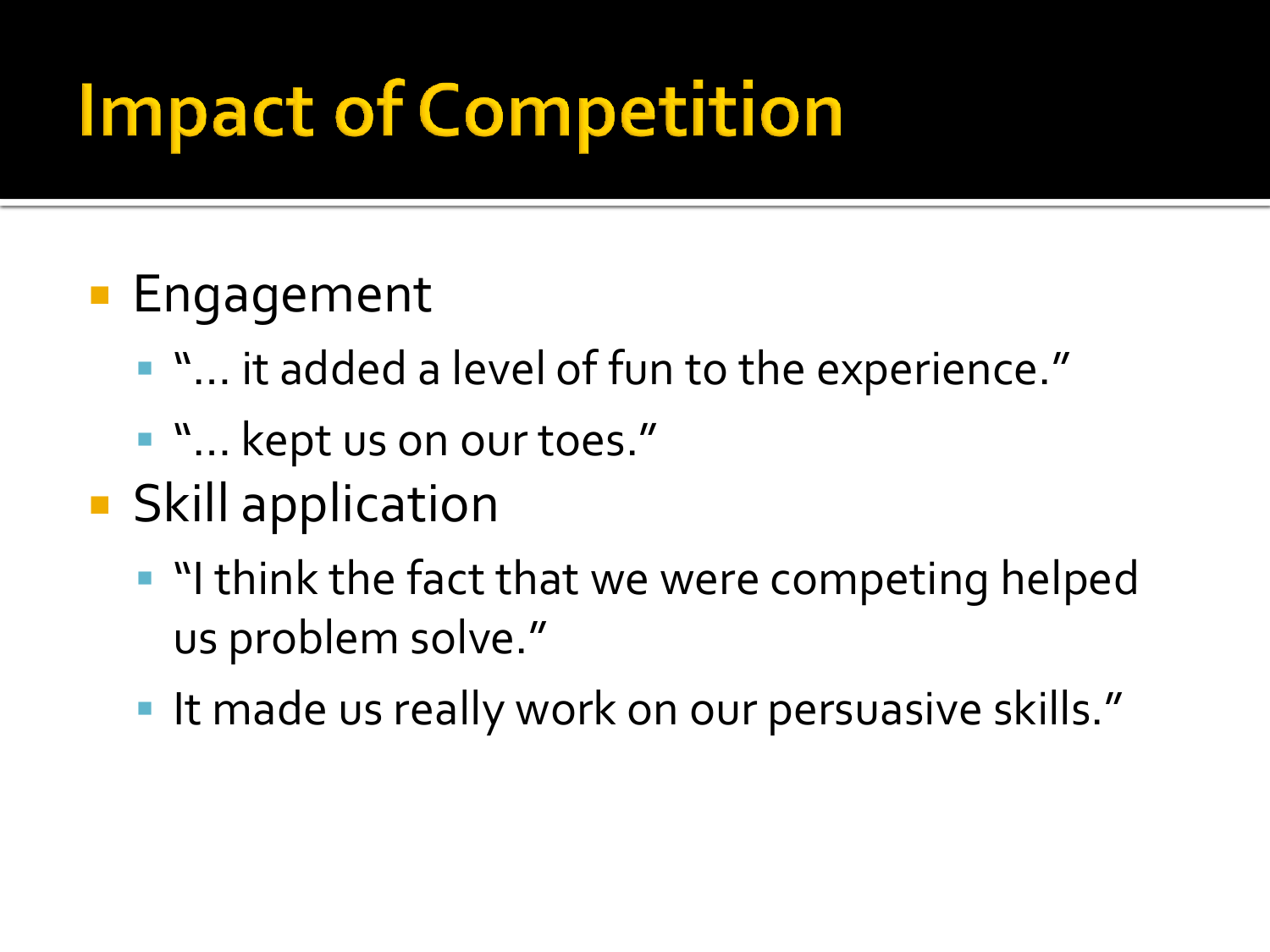## **Impact of Competition**

#### **Engagement**

- "... it added a level of fun to the experience."
- **"** ... kept us on our toes."
- **Skill application** 
	- "I think the fact that we were competing helped us problem solve."
	- It made us really work on our persuasive skills."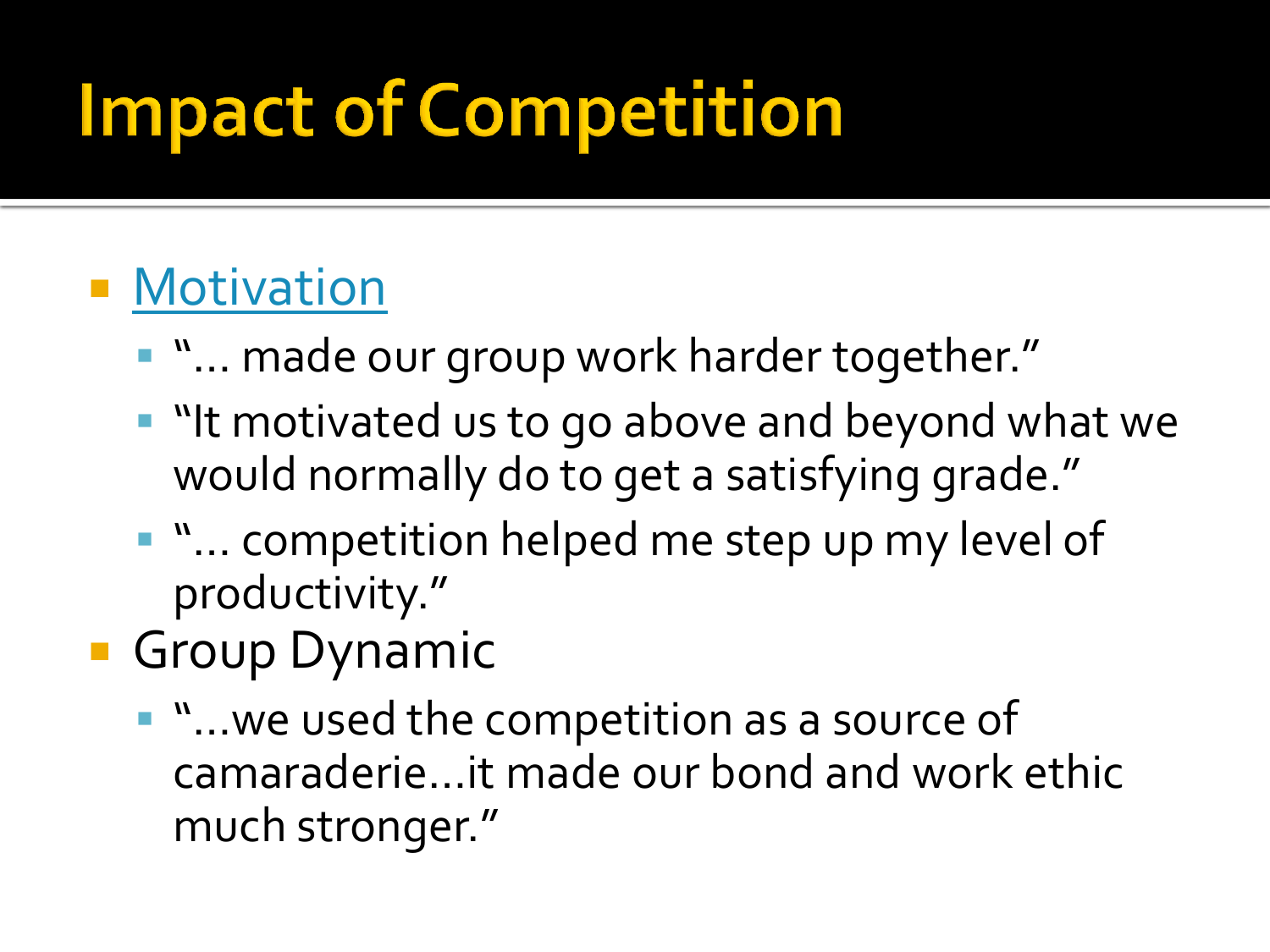## **Impact of Competition**

### **• [Motivation](http://www.youtube.com/watch?v=wpBm9wS10oc)**

- "... made our group work harder together."
- **I** "It motivated us to go above and beyond what we would normally do to get a satisfying grade."
- **"** "... competition helped me step up my level of productivity."
- **Group Dynamic** 
	- "…we used the competition as a source of camaraderie…it made our bond and work ethic much stronger."